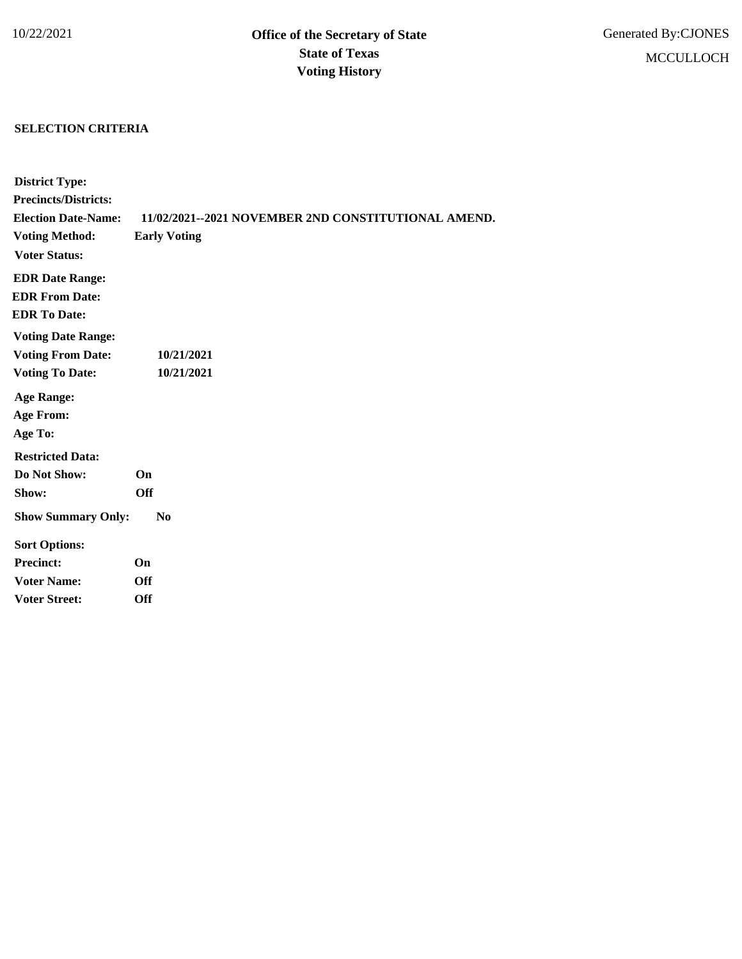## **SELECTION CRITERIA**

| <b>District Type:</b>       |                                                     |
|-----------------------------|-----------------------------------------------------|
| <b>Precincts/Districts:</b> |                                                     |
| <b>Election Date-Name:</b>  | 11/02/2021--2021 NOVEMBER 2ND CONSTITUTIONAL AMEND. |
| <b>Voting Method:</b>       | <b>Early Voting</b>                                 |
| <b>Voter Status:</b>        |                                                     |
| <b>EDR Date Range:</b>      |                                                     |
| <b>EDR From Date:</b>       |                                                     |
| <b>EDR To Date:</b>         |                                                     |
| <b>Voting Date Range:</b>   |                                                     |
| <b>Voting From Date:</b>    | 10/21/2021                                          |
| <b>Voting To Date:</b>      | 10/21/2021                                          |
| <b>Age Range:</b>           |                                                     |
| <b>Age From:</b>            |                                                     |
| Age To:                     |                                                     |
| <b>Restricted Data:</b>     |                                                     |
| Do Not Show:                | <b>On</b>                                           |
| Show:                       | <b>Off</b>                                          |
| <b>Show Summary Only:</b>   | $\bf No$                                            |
| <b>Sort Options:</b>        |                                                     |
| <b>Precinct:</b>            | On                                                  |
| <b>Voter Name:</b>          | <b>Off</b>                                          |
| <b>Voter Street:</b>        | Off                                                 |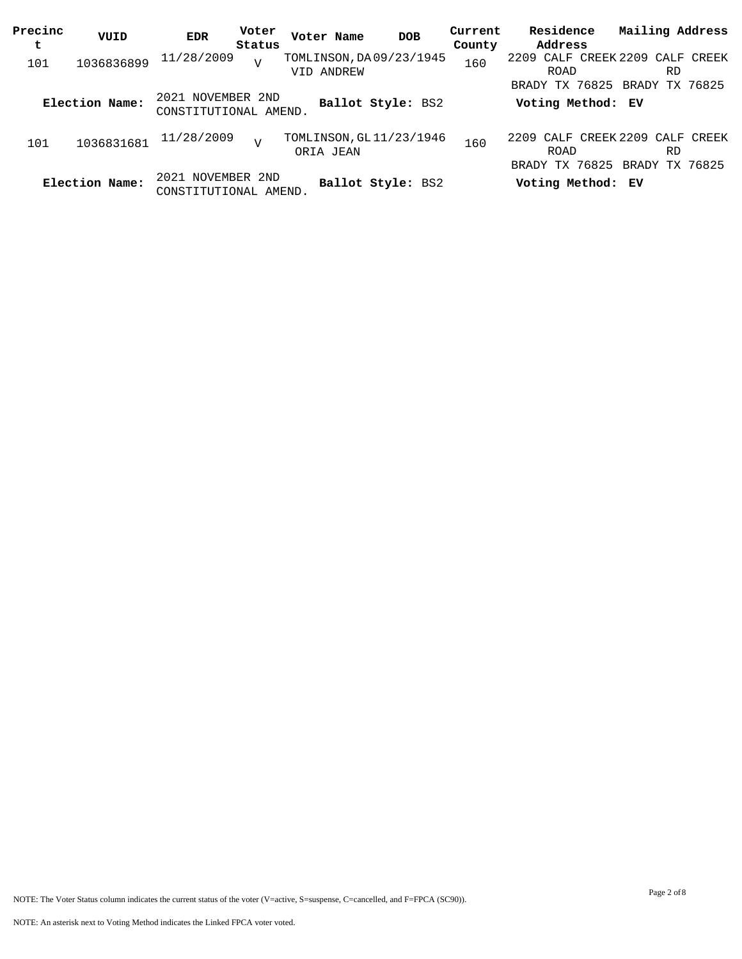| Precinc<br>t | VUID           | <b>EDR</b>                                 | Voter<br>Status | Voter Name                            | <b>DOB</b>        | Current<br>County | Residence<br>Address                                                     | Mailing Address |  |
|--------------|----------------|--------------------------------------------|-----------------|---------------------------------------|-------------------|-------------------|--------------------------------------------------------------------------|-----------------|--|
| 101          | 1036836899     | 11/28/2009                                 | $\overline{V}$  | TOMLINSON, DA09/23/1945<br>VID ANDREW |                   | 160               | 2209 CALF CREEK 2209 CALF CREEK<br>ROAD                                  | RD.             |  |
|              | Election Name: | 2021 NOVEMBER 2ND<br>CONSTITUTIONAL AMEND. |                 |                                       | Ballot Style: BS2 |                   | BRADY TX 76825 BRADY TX 76825<br>Voting Method: EV                       |                 |  |
| 101          | 1036831681     | 11/28/2009                                 | $\overline{V}$  | TOMLINSON, GL11/23/1946<br>ORIA JEAN  |                   | 160               | 2209 CALF CREEK 2209 CALF CREEK<br>ROAD<br>BRADY TX 76825 BRADY TX 76825 | <b>RD</b>       |  |
|              | Election Name: | 2021 NOVEMBER 2ND<br>CONSTITUTIONAL AMEND. |                 |                                       | Ballot Style: BS2 |                   | Voting Method: EV                                                        |                 |  |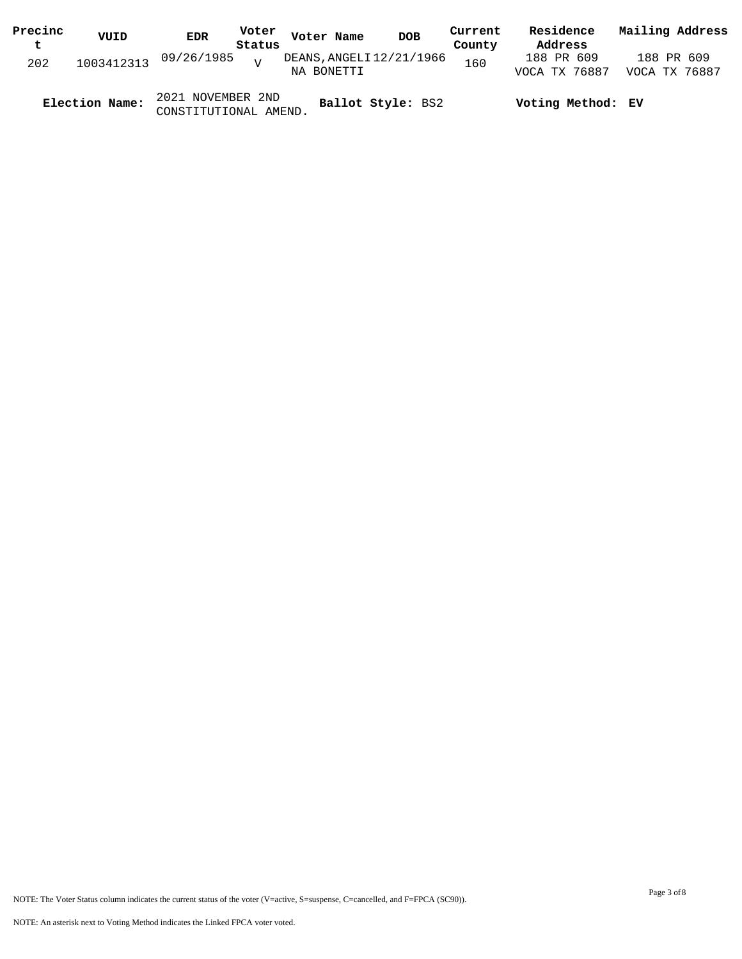| Precinc | VUID           | Voter<br><b>EDR</b>                        | Voter Name                             | <b>DOB</b> | Current | Residence                   | Mailing Address             |  |
|---------|----------------|--------------------------------------------|----------------------------------------|------------|---------|-----------------------------|-----------------------------|--|
| t       |                | Status                                     |                                        |            | County  | Address                     |                             |  |
| 202     | 1003412313     | 09/26/1985<br>$\overline{z}$               | DEANS, ANGELI 12/21/1966<br>NA BONETTI |            | 160     | 188 PR 609<br>VOCA TX 76887 | 188 PR 609<br>VOCA TX 76887 |  |
|         | Election Name: | 2021 NOVEMBER 2ND<br>CONSTITUTIONAL AMEND. | Ballot Style: BS2                      |            |         | Voting Method: EV           |                             |  |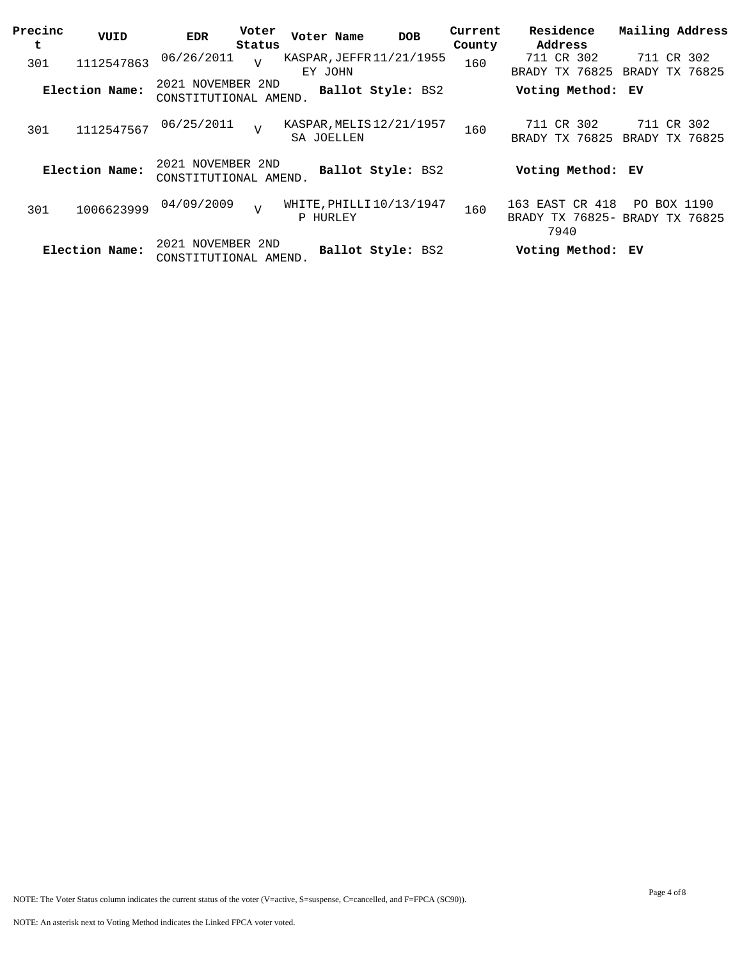| Precinc<br>t | VUID           | <b>EDR</b>                                 | Voter<br>Status | Voter Name                             | <b>DOB</b>        | Current<br>County | Residence<br>Address         | Mailing Address                               |
|--------------|----------------|--------------------------------------------|-----------------|----------------------------------------|-------------------|-------------------|------------------------------|-----------------------------------------------|
| 301          | 1112547863     | 06/26/2011                                 | $\overline{U}$  | KASPAR, JEFFR 11/21/1955<br>EY JOHN    |                   | 160               | 711 CR 302<br>BRADY TX 76825 | 711<br>CR 302<br>BRADY TX 76825               |
|              | Election Name: | 2021 NOVEMBER 2ND<br>CONSTITUTIONAL AMEND. |                 |                                        | Ballot Style: BS2 |                   | Voting Method: EV            |                                               |
| 301          | 1112547567     | 06/25/2011                                 | $\overline{v}$  | KASPAR, MELIS 12/21/1957<br>SA JOELLEN |                   | 160               | 711 CR 302<br>BRADY TX 76825 | 711 CR 302<br>BRADY TX 76825                  |
|              | Election Name: | 2021 NOVEMBER 2ND<br>CONSTITUTIONAL AMEND. |                 |                                        | Ballot Style: BS2 |                   | Voting Method: EV            |                                               |
| 301          | 1006623999     | 04/09/2009                                 | $\overline{V}$  | WHITE, PHILLI10/13/1947<br>P HURLEY    |                   | 160               | 163 EAST CR 418<br>7940      | PO BOX 1190<br>BRADY TX 76825- BRADY TX 76825 |
|              | Election Name: | 2021 NOVEMBER 2ND<br>CONSTITUTIONAL AMEND. |                 |                                        | Ballot Style: BS2 |                   | Voting Method: EV            |                                               |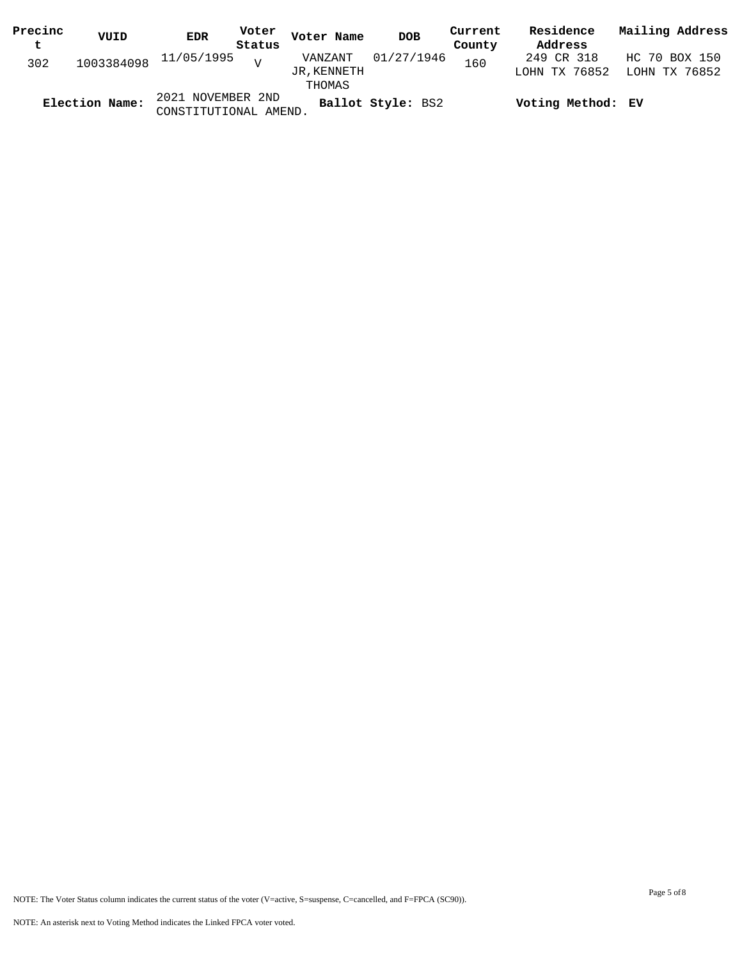| Precinc | VUID           | <b>EDR</b>                                 | Voter  | Voter Name             | <b>DOB</b>        | Current | Residence                   | Mailing Address                |
|---------|----------------|--------------------------------------------|--------|------------------------|-------------------|---------|-----------------------------|--------------------------------|
| t       |                |                                            | Status |                        |                   | County  | Address                     |                                |
| 302     |                | $1003384098$ $11/05/1995$ v                |        | VANZANT<br>JR, KENNETH | 01/27/1946        | 160     | 249 CR 318<br>LOHN TX 76852 | HC 70 BOX 150<br>LOHN TX 76852 |
|         |                |                                            |        | THOMAS                 |                   |         |                             |                                |
|         | Election Name: | 2021 NOVEMBER 2ND<br>CONSTITUTIONAL AMEND. |        |                        | Ballot Style: BS2 |         | Voting Method: EV           |                                |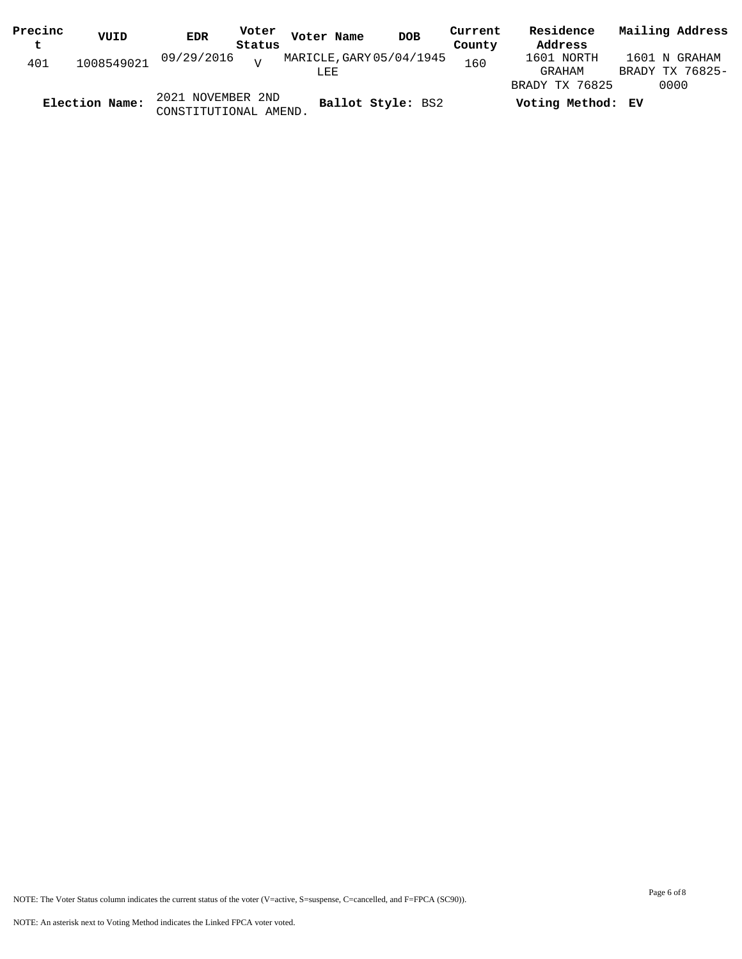| Precinc | VUID           | <b>EDR</b>                                 | Voter  | Voter Name               | <b>DOB</b>        | Current | Residence         | Mailing Address |
|---------|----------------|--------------------------------------------|--------|--------------------------|-------------------|---------|-------------------|-----------------|
| t       |                |                                            | Status |                          |                   | County  | Address           |                 |
| 401     | 1008549021     | 09/29/2016 <sub>v</sub>                    |        | MARICLE, GARY 05/04/1945 |                   | 160     | 1601 NORTH        | 1601 N GRAHAM   |
|         |                |                                            |        | LEE                      |                   |         | GRAHAM            | BRADY TX 76825- |
|         |                |                                            |        |                          |                   |         | BRADY TX 76825    | 0000            |
|         | Election Name: | 2021 NOVEMBER 2ND<br>CONSTITUTIONAL AMEND. |        |                          | Ballot Style: BS2 |         | Voting Method: EV |                 |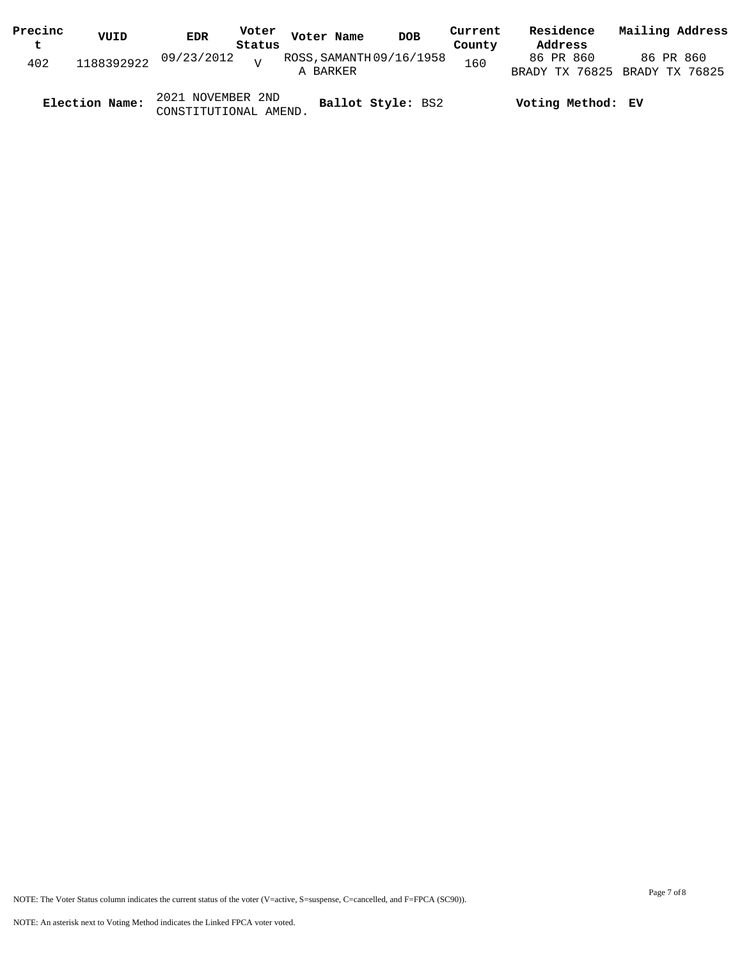| Precinc | VUID           | EDR                                        | Voter          | Voter Name               | <b>DOB</b> | Current | Residence         | Mailing Address               |
|---------|----------------|--------------------------------------------|----------------|--------------------------|------------|---------|-------------------|-------------------------------|
| t       |                |                                            | Status         |                          |            | County  | Address           |                               |
| 402     |                | 1188392922 09/23/2012                      | $\overline{z}$ | ROSS, SAMANTH 09/16/1958 |            | 160     | 86 PR 860         | 86 PR 860                     |
|         |                |                                            |                | A BARKER                 |            |         |                   | BRADY TX 76825 BRADY TX 76825 |
|         | Election Name: | 2021 NOVEMBER 2ND<br>CONSTITUTIONAL AMEND. |                | Ballot Style: BS2        |            |         | Voting Method: EV |                               |